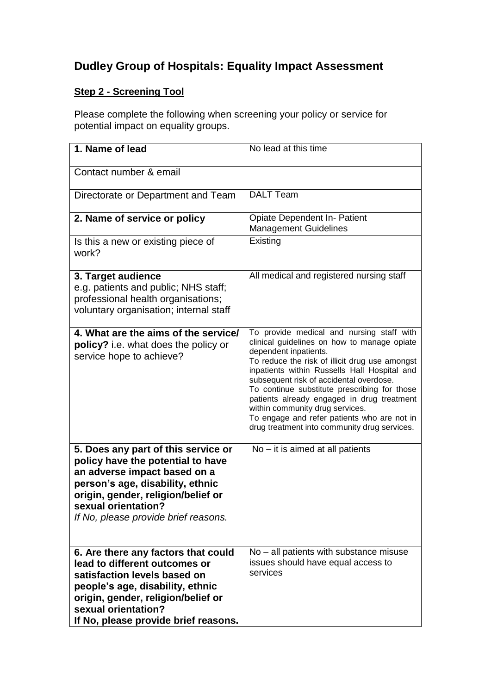# **Dudley Group of Hospitals: Equality Impact Assessment**

## **Step 2 - Screening Tool**

Please complete the following when screening your policy or service for potential impact on equality groups.

| 1. Name of lead                                                                                                                                                                                                                                   | No lead at this time                                                                                                                                                                                                                                                                                                                                                                                                                                                                           |
|---------------------------------------------------------------------------------------------------------------------------------------------------------------------------------------------------------------------------------------------------|------------------------------------------------------------------------------------------------------------------------------------------------------------------------------------------------------------------------------------------------------------------------------------------------------------------------------------------------------------------------------------------------------------------------------------------------------------------------------------------------|
| Contact number & email                                                                                                                                                                                                                            |                                                                                                                                                                                                                                                                                                                                                                                                                                                                                                |
| Directorate or Department and Team                                                                                                                                                                                                                | <b>DALT Team</b>                                                                                                                                                                                                                                                                                                                                                                                                                                                                               |
| 2. Name of service or policy                                                                                                                                                                                                                      | Opiate Dependent In- Patient<br><b>Management Guidelines</b>                                                                                                                                                                                                                                                                                                                                                                                                                                   |
| Is this a new or existing piece of<br>work?                                                                                                                                                                                                       | Existing                                                                                                                                                                                                                                                                                                                                                                                                                                                                                       |
| 3. Target audience<br>e.g. patients and public; NHS staff;<br>professional health organisations;<br>voluntary organisation; internal staff                                                                                                        | All medical and registered nursing staff                                                                                                                                                                                                                                                                                                                                                                                                                                                       |
| 4. What are the aims of the service/<br><b>policy?</b> i.e. what does the policy or<br>service hope to achieve?                                                                                                                                   | To provide medical and nursing staff with<br>clinical guidelines on how to manage opiate<br>dependent inpatients.<br>To reduce the risk of illicit drug use amongst<br>inpatients within Russells Hall Hospital and<br>subsequent risk of accidental overdose.<br>To continue substitute prescribing for those<br>patients already engaged in drug treatment<br>within community drug services.<br>To engage and refer patients who are not in<br>drug treatment into community drug services. |
| 5. Does any part of this service or<br>policy have the potential to have<br>an adverse impact based on a<br>person's age, disability, ethnic<br>origin, gender, religion/belief or<br>sexual orientation?<br>If No, please provide brief reasons. | $No - it$ is aimed at all patients                                                                                                                                                                                                                                                                                                                                                                                                                                                             |
| 6. Are there any factors that could<br>lead to different outcomes or<br>satisfaction levels based on<br>people's age, disability, ethnic<br>origin, gender, religion/belief or<br>sexual orientation?<br>If No, please provide brief reasons.     | No – all patients with substance misuse<br>issues should have equal access to<br>services                                                                                                                                                                                                                                                                                                                                                                                                      |